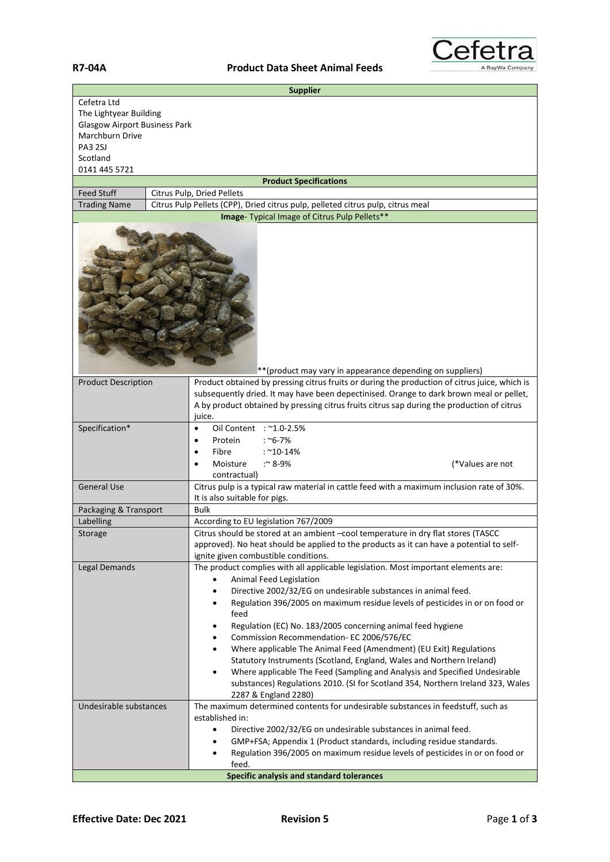

| <b>Supplier</b>                                           |                                                                                                                                                                                                                                                                                                  |  |  |
|-----------------------------------------------------------|--------------------------------------------------------------------------------------------------------------------------------------------------------------------------------------------------------------------------------------------------------------------------------------------------|--|--|
| Cefetra Ltd                                               |                                                                                                                                                                                                                                                                                                  |  |  |
| The Lightyear Building                                    |                                                                                                                                                                                                                                                                                                  |  |  |
| <b>Glasgow Airport Business Park</b><br>Marchburn Drive   |                                                                                                                                                                                                                                                                                                  |  |  |
| <b>PA3 2SJ</b>                                            |                                                                                                                                                                                                                                                                                                  |  |  |
| Scotland                                                  |                                                                                                                                                                                                                                                                                                  |  |  |
| 0141 445 5721                                             |                                                                                                                                                                                                                                                                                                  |  |  |
|                                                           | <b>Product Specifications</b>                                                                                                                                                                                                                                                                    |  |  |
| <b>Feed Stuff</b>                                         | Citrus Pulp, Dried Pellets                                                                                                                                                                                                                                                                       |  |  |
| <b>Trading Name</b>                                       | Citrus Pulp Pellets (CPP), Dried citrus pulp, pelleted citrus pulp, citrus meal                                                                                                                                                                                                                  |  |  |
| Image- Typical Image of Citrus Pulp Pellets**             |                                                                                                                                                                                                                                                                                                  |  |  |
| **(product may vary in appearance depending on suppliers) |                                                                                                                                                                                                                                                                                                  |  |  |
| <b>Product Description</b>                                | Product obtained by pressing citrus fruits or during the production of citrus juice, which is<br>subsequently dried. It may have been depectinised. Orange to dark brown meal or pellet,<br>A by product obtained by pressing citrus fruits citrus sap during the production of citrus<br>juice. |  |  |
| Specification*                                            | Oil Content : ~1.0-2.5%<br>$\bullet$                                                                                                                                                                                                                                                             |  |  |
|                                                           | : $^{\sim}$ 6-7%<br>Protein<br>$\bullet$                                                                                                                                                                                                                                                         |  |  |
|                                                           | Fibre<br>$:$ ~10-14%<br>$\bullet$                                                                                                                                                                                                                                                                |  |  |
|                                                           | Moisture<br>:~ $8-9%$<br>(*Values are not<br>$\bullet$                                                                                                                                                                                                                                           |  |  |
| <b>General Use</b>                                        | contractual)<br>Citrus pulp is a typical raw material in cattle feed with a maximum inclusion rate of 30%.                                                                                                                                                                                       |  |  |
|                                                           | It is also suitable for pigs.                                                                                                                                                                                                                                                                    |  |  |
| Packaging & Transport                                     | <b>Bulk</b>                                                                                                                                                                                                                                                                                      |  |  |
| Labelling                                                 | According to EU legislation 767/2009                                                                                                                                                                                                                                                             |  |  |
| Storage                                                   | Citrus should be stored at an ambient -cool temperature in dry flat stores (TASCC                                                                                                                                                                                                                |  |  |
|                                                           | approved). No heat should be applied to the products as it can have a potential to self-                                                                                                                                                                                                         |  |  |
|                                                           | ignite given combustible conditions.                                                                                                                                                                                                                                                             |  |  |
| Legal Demands                                             | The product complies with all applicable legislation. Most important elements are:                                                                                                                                                                                                               |  |  |
|                                                           | Animal Feed Legislation                                                                                                                                                                                                                                                                          |  |  |
|                                                           | Directive 2002/32/EG on undesirable substances in animal feed.<br>Regulation 396/2005 on maximum residue levels of pesticides in or on food or<br>٠                                                                                                                                              |  |  |
|                                                           | feed                                                                                                                                                                                                                                                                                             |  |  |
|                                                           | Regulation (EC) No. 183/2005 concerning animal feed hygiene<br>٠                                                                                                                                                                                                                                 |  |  |
|                                                           | Commission Recommendation- EC 2006/576/EC<br>٠                                                                                                                                                                                                                                                   |  |  |
|                                                           | Where applicable The Animal Feed (Amendment) (EU Exit) Regulations<br>٠                                                                                                                                                                                                                          |  |  |
|                                                           | Statutory Instruments (Scotland, England, Wales and Northern Ireland)                                                                                                                                                                                                                            |  |  |
|                                                           | Where applicable The Feed (Sampling and Analysis and Specified Undesirable<br>٠                                                                                                                                                                                                                  |  |  |
|                                                           | substances) Regulations 2010. (SI for Scotland 354, Northern Ireland 323, Wales<br>2287 & England 2280)                                                                                                                                                                                          |  |  |
| Undesirable substances                                    | The maximum determined contents for undesirable substances in feedstuff, such as                                                                                                                                                                                                                 |  |  |
|                                                           | established in:                                                                                                                                                                                                                                                                                  |  |  |
|                                                           | Directive 2002/32/EG on undesirable substances in animal feed.<br>$\bullet$                                                                                                                                                                                                                      |  |  |
|                                                           | GMP+FSA; Appendix 1 (Product standards, including residue standards.                                                                                                                                                                                                                             |  |  |
|                                                           | Regulation 396/2005 on maximum residue levels of pesticides in or on food or                                                                                                                                                                                                                     |  |  |
|                                                           | feed.                                                                                                                                                                                                                                                                                            |  |  |
| <b>Specific analysis and standard tolerances</b>          |                                                                                                                                                                                                                                                                                                  |  |  |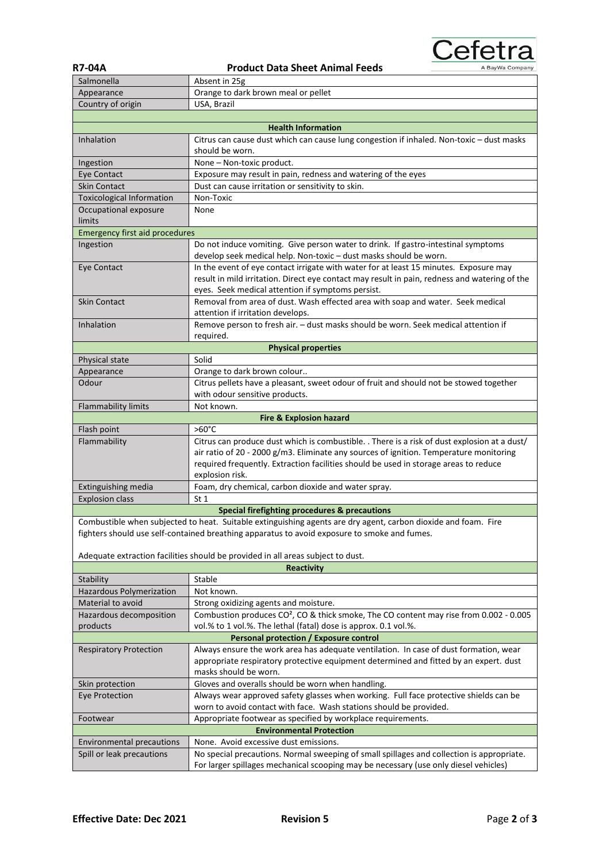

| <b>R7-04A</b> | <b>Product Data Sheet Animal Feeds</b> |
|---------------|----------------------------------------|
| Salmonella    | Absent in 25g                          |

| -v4A      |  |
|-----------|--|
| ılmonella |  |

| Salmonella                                               | Absent in 25g                                                                                                  |  |  |
|----------------------------------------------------------|----------------------------------------------------------------------------------------------------------------|--|--|
| Appearance                                               | Orange to dark brown meal or pellet                                                                            |  |  |
| Country of origin                                        | USA, Brazil                                                                                                    |  |  |
|                                                          |                                                                                                                |  |  |
|                                                          | <b>Health Information</b>                                                                                      |  |  |
| Inhalation                                               | Citrus can cause dust which can cause lung congestion if inhaled. Non-toxic - dust masks                       |  |  |
|                                                          | should be worn.                                                                                                |  |  |
| Ingestion                                                | None - Non-toxic product.                                                                                      |  |  |
| Eye Contact                                              | Exposure may result in pain, redness and watering of the eyes                                                  |  |  |
| <b>Skin Contact</b>                                      | Dust can cause irritation or sensitivity to skin.                                                              |  |  |
| <b>Toxicological Information</b>                         | Non-Toxic                                                                                                      |  |  |
| Occupational exposure                                    | None                                                                                                           |  |  |
| limits                                                   |                                                                                                                |  |  |
| <b>Emergency first aid procedures</b>                    |                                                                                                                |  |  |
| Ingestion                                                | Do not induce vomiting. Give person water to drink. If gastro-intestinal symptoms                              |  |  |
|                                                          | develop seek medical help. Non-toxic - dust masks should be worn.                                              |  |  |
| Eye Contact                                              | In the event of eye contact irrigate with water for at least 15 minutes. Exposure may                          |  |  |
|                                                          | result in mild irritation. Direct eye contact may result in pain, redness and watering of the                  |  |  |
|                                                          | eyes. Seek medical attention if symptoms persist.                                                              |  |  |
| <b>Skin Contact</b>                                      | Removal from area of dust. Wash effected area with soap and water. Seek medical                                |  |  |
|                                                          | attention if irritation develops.                                                                              |  |  |
| Inhalation                                               | Remove person to fresh air. - dust masks should be worn. Seek medical attention if                             |  |  |
|                                                          | required.                                                                                                      |  |  |
|                                                          | <b>Physical properties</b>                                                                                     |  |  |
| Physical state                                           | Solid                                                                                                          |  |  |
| Appearance                                               | Orange to dark brown colour                                                                                    |  |  |
| Odour                                                    | Citrus pellets have a pleasant, sweet odour of fruit and should not be stowed together                         |  |  |
|                                                          | with odour sensitive products.                                                                                 |  |  |
| Flammability limits                                      | Not known.                                                                                                     |  |  |
|                                                          | <b>Fire &amp; Explosion hazard</b>                                                                             |  |  |
| Flash point                                              | $>60^{\circ}$ C                                                                                                |  |  |
| Flammability                                             | Citrus can produce dust which is combustible. . There is a risk of dust explosion at a dust/                   |  |  |
|                                                          | air ratio of 20 - 2000 g/m3. Eliminate any sources of ignition. Temperature monitoring                         |  |  |
|                                                          | required frequently. Extraction facilities should be used in storage areas to reduce                           |  |  |
|                                                          | explosion risk.                                                                                                |  |  |
| Extinguishing media                                      | Foam, dry chemical, carbon dioxide and water spray.                                                            |  |  |
| <b>Explosion class</b>                                   | St <sub>1</sub>                                                                                                |  |  |
| <b>Special firefighting procedures &amp; precautions</b> |                                                                                                                |  |  |
|                                                          | Combustible when subjected to heat. Suitable extinguishing agents are dry agent, carbon dioxide and foam. Fire |  |  |
|                                                          | fighters should use self-contained breathing apparatus to avoid exposure to smoke and fumes.                   |  |  |
|                                                          |                                                                                                                |  |  |
|                                                          | Adequate extraction facilities should be provided in all areas subject to dust.                                |  |  |
|                                                          | <b>Reactivity</b>                                                                                              |  |  |
| Stability                                                | Stable                                                                                                         |  |  |
| Hazardous Polymerization                                 | Not known.                                                                                                     |  |  |
| Material to avoid                                        | Strong oxidizing agents and moisture.                                                                          |  |  |
| Hazardous decomposition                                  | Combustion produces CO <sup>2</sup> , CO & thick smoke, The CO content may rise from 0.002 - 0.005             |  |  |
| products                                                 | vol.% to 1 vol.%. The lethal (fatal) dose is approx. 0.1 vol.%.                                                |  |  |
|                                                          | Personal protection / Exposure control                                                                         |  |  |
| <b>Respiratory Protection</b>                            | Always ensure the work area has adequate ventilation. In case of dust formation, wear                          |  |  |
|                                                          | appropriate respiratory protective equipment determined and fitted by an expert. dust                          |  |  |
|                                                          | masks should be worn.                                                                                          |  |  |
| Skin protection                                          | Gloves and overalls should be worn when handling.                                                              |  |  |
| <b>Eye Protection</b>                                    | Always wear approved safety glasses when working. Full face protective shields can be                          |  |  |
|                                                          | worn to avoid contact with face. Wash stations should be provided.                                             |  |  |
| Footwear                                                 | Appropriate footwear as specified by workplace requirements.                                                   |  |  |
| <b>Environmental Protection</b>                          |                                                                                                                |  |  |
| <b>Environmental precautions</b>                         | None. Avoid excessive dust emissions.                                                                          |  |  |
| Spill or leak precautions                                | No special precautions. Normal sweeping of small spillages and collection is appropriate.                      |  |  |
|                                                          | For larger spillages mechanical scooping may be necessary (use only diesel vehicles)                           |  |  |